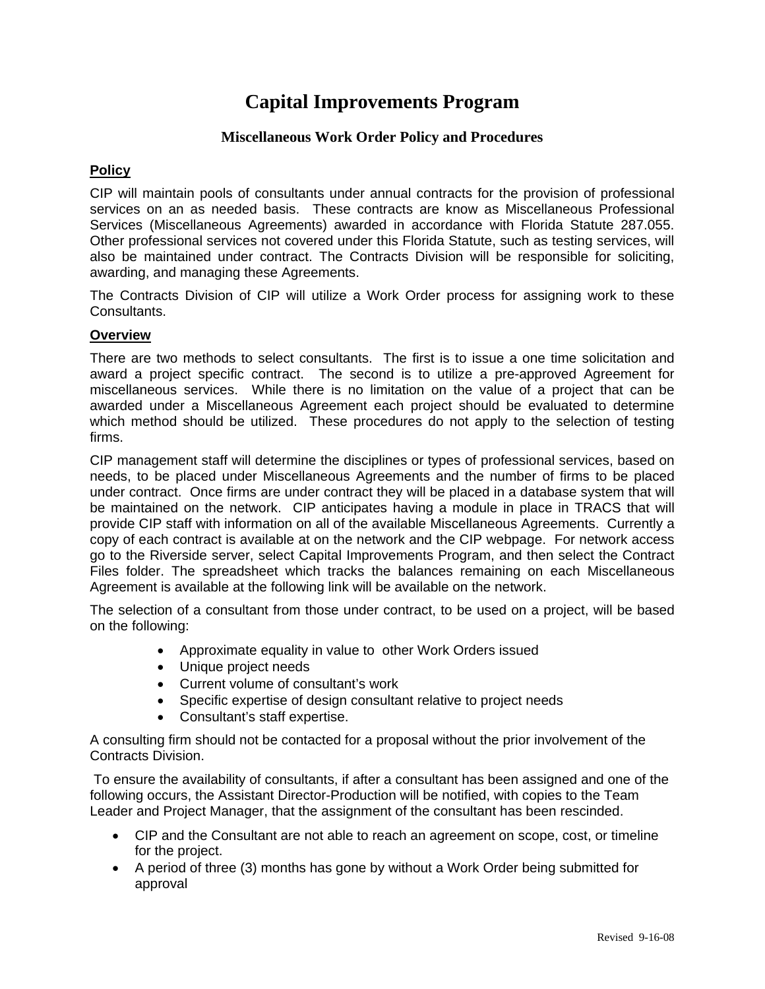# **Capital Improvements Program**

# **Miscellaneous Work Order Policy and Procedures**

# **Policy**

CIP will maintain pools of consultants under annual contracts for the provision of professional services on an as needed basis. These contracts are know as Miscellaneous Professional Services (Miscellaneous Agreements) awarded in accordance with Florida Statute 287.055. Other professional services not covered under this Florida Statute, such as testing services, will also be maintained under contract. The Contracts Division will be responsible for soliciting, awarding, and managing these Agreements.

The Contracts Division of CIP will utilize a Work Order process for assigning work to these Consultants.

# **Overview**

There are two methods to select consultants. The first is to issue a one time solicitation and award a project specific contract. The second is to utilize a pre-approved Agreement for miscellaneous services. While there is no limitation on the value of a project that can be awarded under a Miscellaneous Agreement each project should be evaluated to determine which method should be utilized. These procedures do not apply to the selection of testing firms.

CIP management staff will determine the disciplines or types of professional services, based on needs, to be placed under Miscellaneous Agreements and the number of firms to be placed under contract. Once firms are under contract they will be placed in a database system that will be maintained on the network. CIP anticipates having a module in place in TRACS that will provide CIP staff with information on all of the available Miscellaneous Agreements. Currently a copy of each contract is available at on the network and the CIP webpage. For network access go to the Riverside server, select Capital Improvements Program, and then select the Contract Files folder. The spreadsheet which tracks the balances remaining on each Miscellaneous Agreement is available at the following link will be available on the network.

The selection of a consultant from those under contract, to be used on a project, will be based on the following:

- Approximate equality in value to other Work Orders issued
- Unique project needs
- Current volume of consultant's work
- Specific expertise of design consultant relative to project needs
- Consultant's staff expertise.

A consulting firm should not be contacted for a proposal without the prior involvement of the Contracts Division.

 To ensure the availability of consultants, if after a consultant has been assigned and one of the following occurs, the Assistant Director-Production will be notified, with copies to the Team Leader and Project Manager, that the assignment of the consultant has been rescinded.

- CIP and the Consultant are not able to reach an agreement on scope, cost, or timeline for the project.
- A period of three (3) months has gone by without a Work Order being submitted for approval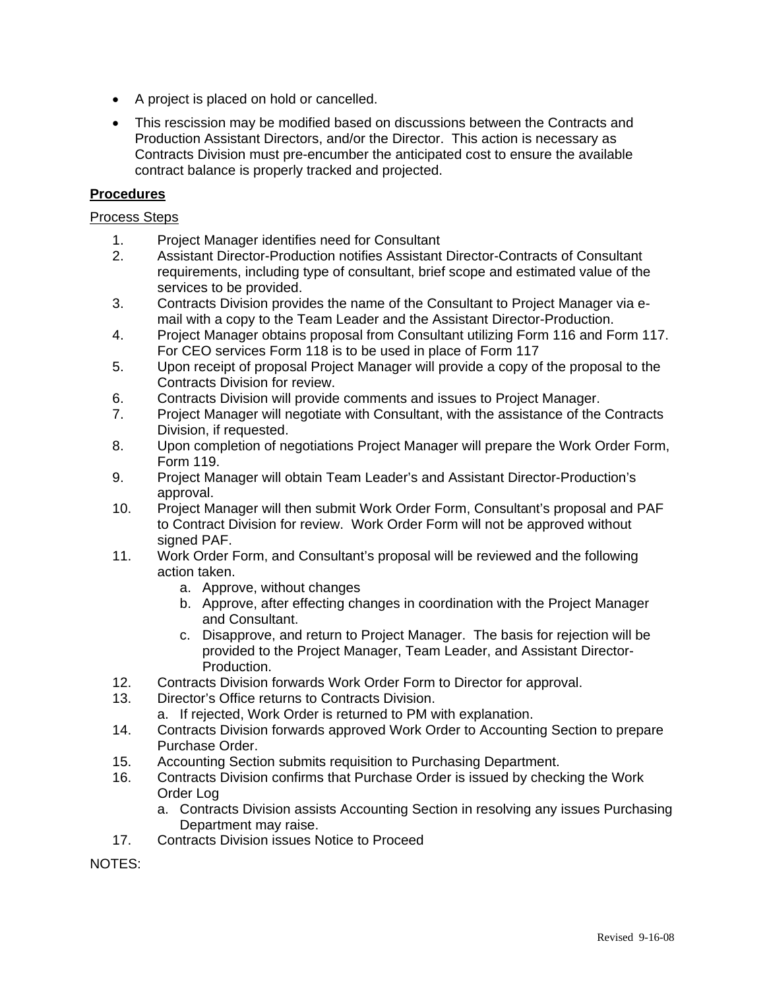- A project is placed on hold or cancelled.
- This rescission may be modified based on discussions between the Contracts and Production Assistant Directors, and/or the Director. This action is necessary as Contracts Division must pre-encumber the anticipated cost to ensure the available contract balance is properly tracked and projected.

# **Procedures**

## Process Steps

- 1. Project Manager identifies need for Consultant
- 2. Assistant Director-Production notifies Assistant Director-Contracts of Consultant requirements, including type of consultant, brief scope and estimated value of the services to be provided.
- 3. Contracts Division provides the name of the Consultant to Project Manager via email with a copy to the Team Leader and the Assistant Director-Production.
- 4. Project Manager obtains proposal from Consultant utilizing Form 116 and Form 117. For CEO services Form 118 is to be used in place of Form 117
- 5. Upon receipt of proposal Project Manager will provide a copy of the proposal to the Contracts Division for review.
- 6. Contracts Division will provide comments and issues to Project Manager.
- 7. Project Manager will negotiate with Consultant, with the assistance of the Contracts Division, if requested.
- 8. Upon completion of negotiations Project Manager will prepare the Work Order Form, Form 119.
- 9. Project Manager will obtain Team Leader's and Assistant Director-Production's approval.
- 10. Project Manager will then submit Work Order Form, Consultant's proposal and PAF to Contract Division for review. Work Order Form will not be approved without signed PAF.
- 11. Work Order Form, and Consultant's proposal will be reviewed and the following action taken.
	- a. Approve, without changes
	- b. Approve, after effecting changes in coordination with the Project Manager and Consultant.
	- c. Disapprove, and return to Project Manager. The basis for rejection will be provided to the Project Manager, Team Leader, and Assistant Director-Production.
- 12. Contracts Division forwards Work Order Form to Director for approval.
- 13. Director's Office returns to Contracts Division.
	- a. If rejected, Work Order is returned to PM with explanation.
- 14. Contracts Division forwards approved Work Order to Accounting Section to prepare Purchase Order.
- 15. Accounting Section submits requisition to Purchasing Department.
- 16. Contracts Division confirms that Purchase Order is issued by checking the Work Order Log
	- a. Contracts Division assists Accounting Section in resolving any issues Purchasing Department may raise.
- 17. Contracts Division issues Notice to Proceed

NOTES: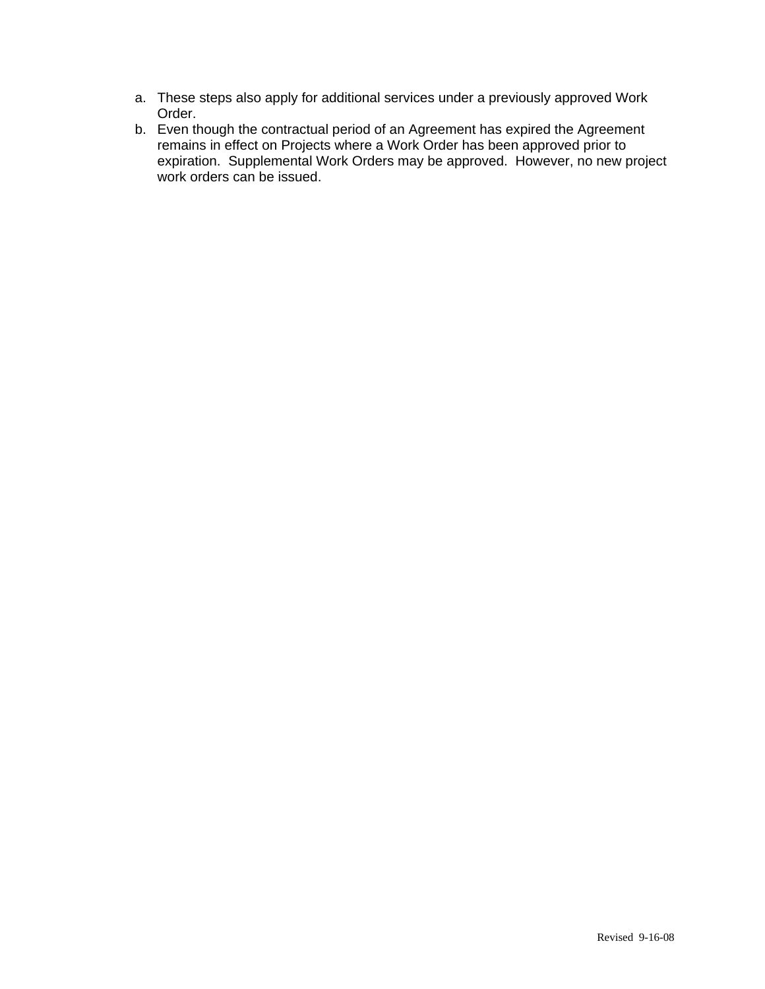- a. These steps also apply for additional services under a previously approved Work Order.
- b. Even though the contractual period of an Agreement has expired the Agreement remains in effect on Projects where a Work Order has been approved prior to expiration. Supplemental Work Orders may be approved. However, no new project work orders can be issued.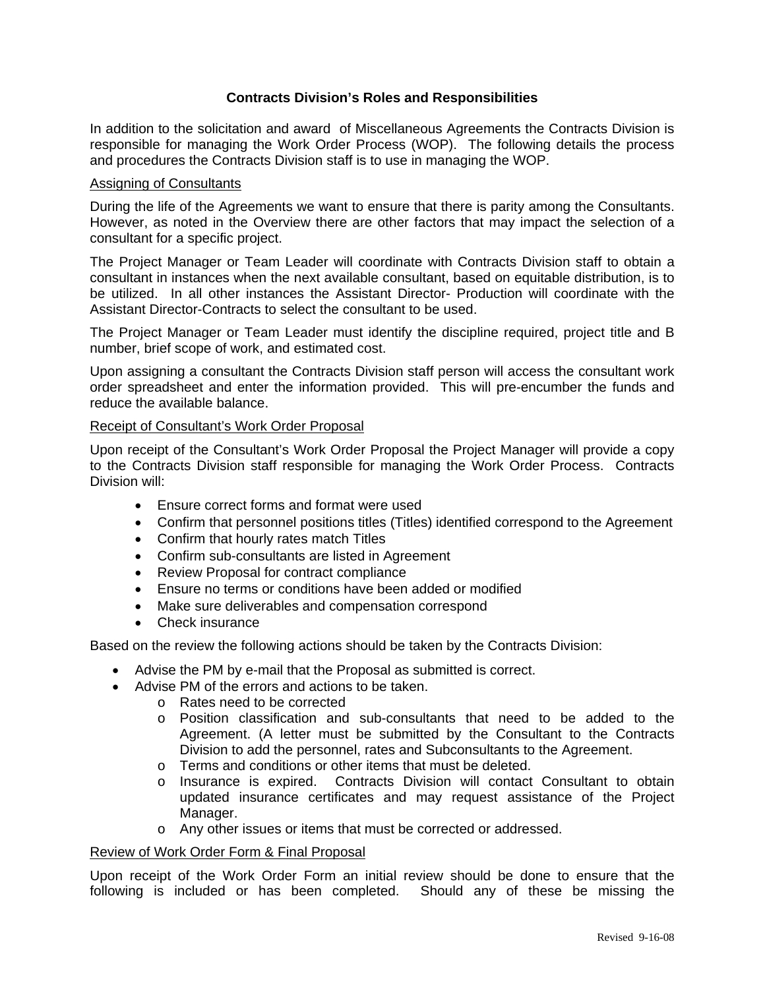# **Contracts Division's Roles and Responsibilities**

In addition to the solicitation and award of Miscellaneous Agreements the Contracts Division is responsible for managing the Work Order Process (WOP). The following details the process and procedures the Contracts Division staff is to use in managing the WOP.

#### Assigning of Consultants

During the life of the Agreements we want to ensure that there is parity among the Consultants. However, as noted in the Overview there are other factors that may impact the selection of a consultant for a specific project.

The Project Manager or Team Leader will coordinate with Contracts Division staff to obtain a consultant in instances when the next available consultant, based on equitable distribution, is to be utilized. In all other instances the Assistant Director- Production will coordinate with the Assistant Director-Contracts to select the consultant to be used.

The Project Manager or Team Leader must identify the discipline required, project title and B number, brief scope of work, and estimated cost.

Upon assigning a consultant the Contracts Division staff person will access the consultant work order spreadsheet and enter the information provided. This will pre-encumber the funds and reduce the available balance.

#### Receipt of Consultant's Work Order Proposal

Upon receipt of the Consultant's Work Order Proposal the Project Manager will provide a copy to the Contracts Division staff responsible for managing the Work Order Process. Contracts Division will:

- Ensure correct forms and format were used
- Confirm that personnel positions titles (Titles) identified correspond to the Agreement
- Confirm that hourly rates match Titles
- Confirm sub-consultants are listed in Agreement
- Review Proposal for contract compliance
- Ensure no terms or conditions have been added or modified
- Make sure deliverables and compensation correspond
- Check insurance

Based on the review the following actions should be taken by the Contracts Division:

- Advise the PM by e-mail that the Proposal as submitted is correct.
- Advise PM of the errors and actions to be taken.
	- o Rates need to be corrected
	- o Position classification and sub-consultants that need to be added to the Agreement. (A letter must be submitted by the Consultant to the Contracts Division to add the personnel, rates and Subconsultants to the Agreement.
	- o Terms and conditions or other items that must be deleted.
	- o Insurance is expired. Contracts Division will contact Consultant to obtain updated insurance certificates and may request assistance of the Project Manager.
	- o Any other issues or items that must be corrected or addressed.

#### Review of Work Order Form & Final Proposal

Upon receipt of the Work Order Form an initial review should be done to ensure that the following is included or has been completed. Should any of these be missing the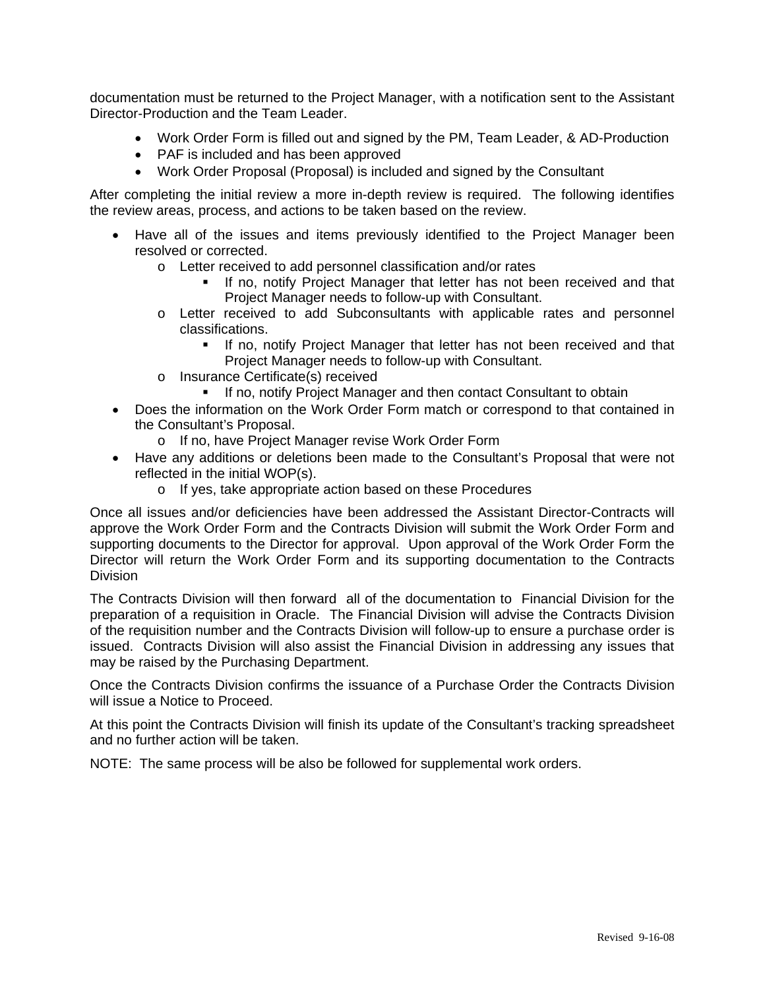documentation must be returned to the Project Manager, with a notification sent to the Assistant Director-Production and the Team Leader.

- Work Order Form is filled out and signed by the PM, Team Leader, & AD-Production
- PAF is included and has been approved
- Work Order Proposal (Proposal) is included and signed by the Consultant

After completing the initial review a more in-depth review is required. The following identifies the review areas, process, and actions to be taken based on the review.

- Have all of the issues and items previously identified to the Project Manager been resolved or corrected.
	- o Letter received to add personnel classification and/or rates
		- **If no, notify Project Manager that letter has not been received and that** Project Manager needs to follow-up with Consultant.
	- o Letter received to add Subconsultants with applicable rates and personnel classifications.
		- If no, notify Project Manager that letter has not been received and that Project Manager needs to follow-up with Consultant.
	- o Insurance Certificate(s) received
		- If no, notify Project Manager and then contact Consultant to obtain
- Does the information on the Work Order Form match or correspond to that contained in the Consultant's Proposal.
	- o If no, have Project Manager revise Work Order Form
- Have any additions or deletions been made to the Consultant's Proposal that were not reflected in the initial WOP(s).
	- o If yes, take appropriate action based on these Procedures

Once all issues and/or deficiencies have been addressed the Assistant Director-Contracts will approve the Work Order Form and the Contracts Division will submit the Work Order Form and supporting documents to the Director for approval. Upon approval of the Work Order Form the Director will return the Work Order Form and its supporting documentation to the Contracts **Division** 

The Contracts Division will then forward all of the documentation to Financial Division for the preparation of a requisition in Oracle. The Financial Division will advise the Contracts Division of the requisition number and the Contracts Division will follow-up to ensure a purchase order is issued. Contracts Division will also assist the Financial Division in addressing any issues that may be raised by the Purchasing Department.

Once the Contracts Division confirms the issuance of a Purchase Order the Contracts Division will issue a Notice to Proceed.

At this point the Contracts Division will finish its update of the Consultant's tracking spreadsheet and no further action will be taken.

NOTE: The same process will be also be followed for supplemental work orders.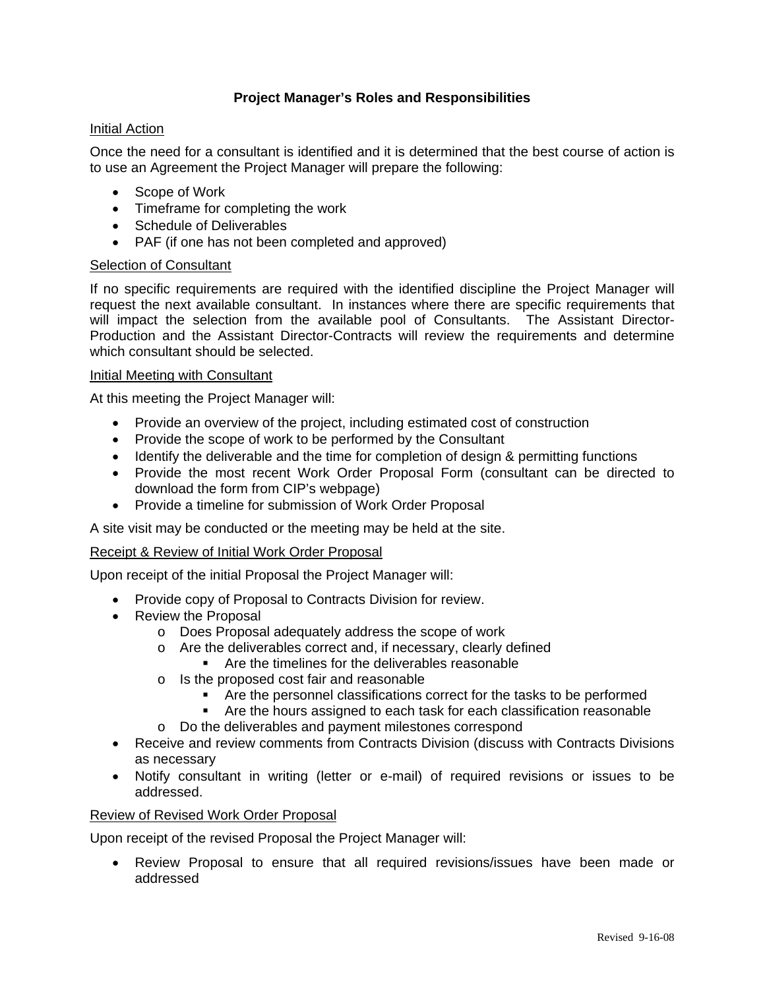# **Project Manager's Roles and Responsibilities**

## Initial Action

Once the need for a consultant is identified and it is determined that the best course of action is to use an Agreement the Project Manager will prepare the following:

- Scope of Work
- Timeframe for completing the work
- Schedule of Deliverables
- PAF (if one has not been completed and approved)

## Selection of Consultant

If no specific requirements are required with the identified discipline the Project Manager will request the next available consultant. In instances where there are specific requirements that will impact the selection from the available pool of Consultants. The Assistant Director-Production and the Assistant Director-Contracts will review the requirements and determine which consultant should be selected.

## Initial Meeting with Consultant

At this meeting the Project Manager will:

- Provide an overview of the project, including estimated cost of construction
- Provide the scope of work to be performed by the Consultant
- Identify the deliverable and the time for completion of design & permitting functions
- Provide the most recent Work Order Proposal Form (consultant can be directed to download the form from CIP's webpage)
- Provide a timeline for submission of Work Order Proposal

A site visit may be conducted or the meeting may be held at the site.

## Receipt & Review of Initial Work Order Proposal

Upon receipt of the initial Proposal the Project Manager will:

- Provide copy of Proposal to Contracts Division for review.
- Review the Proposal
	- o Does Proposal adequately address the scope of work
	- o Are the deliverables correct and, if necessary, clearly defined
		- Are the timelines for the deliverables reasonable
	- o Is the proposed cost fair and reasonable
		- Are the personnel classifications correct for the tasks to be performed
		- Are the hours assigned to each task for each classification reasonable
	- o Do the deliverables and payment milestones correspond
- Receive and review comments from Contracts Division (discuss with Contracts Divisions as necessary
- Notify consultant in writing (letter or e-mail) of required revisions or issues to be addressed.

## Review of Revised Work Order Proposal

Upon receipt of the revised Proposal the Project Manager will:

• Review Proposal to ensure that all required revisions/issues have been made or addressed